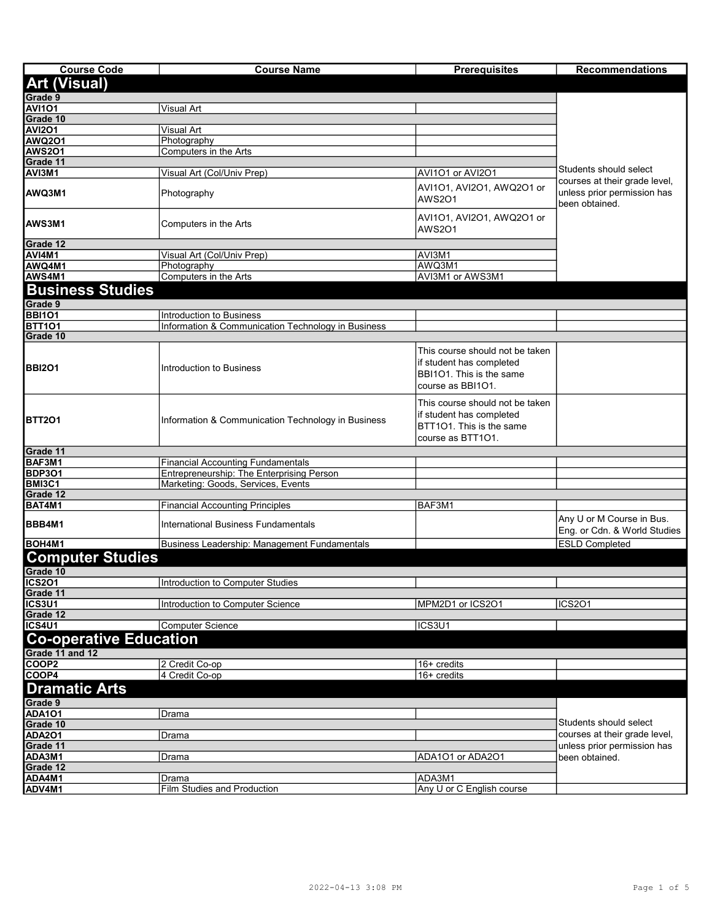| <b>Course Code</b>                  | <b>Course Name</b>                                                              | <b>Prerequisites</b>                                                                                         | <b>Recommendations</b>                                    |
|-------------------------------------|---------------------------------------------------------------------------------|--------------------------------------------------------------------------------------------------------------|-----------------------------------------------------------|
| <b>Art (Visual)</b>                 |                                                                                 |                                                                                                              |                                                           |
| Grade 9                             |                                                                                 |                                                                                                              |                                                           |
| <b>AVI101</b>                       | <b>Visual Art</b>                                                               |                                                                                                              |                                                           |
| Grade 10                            |                                                                                 |                                                                                                              |                                                           |
| <b>AVI201</b>                       | Visual Art                                                                      |                                                                                                              |                                                           |
| <b>AWQ201</b>                       | Photography                                                                     |                                                                                                              |                                                           |
| AWS2O1<br>Grade 11                  | Computers in the Arts                                                           |                                                                                                              |                                                           |
|                                     |                                                                                 |                                                                                                              | Students should select                                    |
| AVI3M1                              | Visual Art (Col/Univ Prep)                                                      | AVI101 or AVI201                                                                                             | courses at their grade level,                             |
| <b>AWQ3M1</b>                       | Photography                                                                     | AVI101, AVI201, AWQ201 or<br><b>AWS2O1</b>                                                                   | unless prior permission has<br>been obtained.             |
| <b>AWS3M1</b>                       | Computers in the Arts                                                           | AVI101, AVI201, AWQ201 or<br>AWS201                                                                          |                                                           |
| Grade 12                            |                                                                                 |                                                                                                              |                                                           |
| AVI4M1                              | Visual Art (Col/Univ Prep)                                                      | AVI3M1                                                                                                       |                                                           |
| AWQ4M1<br>AWS4M1                    | Photography<br>Computers in the Arts                                            | AWQ3M1<br>AVI3M1 or AWS3M1                                                                                   |                                                           |
|                                     |                                                                                 |                                                                                                              |                                                           |
| <b>Business Studies</b>             |                                                                                 |                                                                                                              |                                                           |
| Grade 9                             |                                                                                 |                                                                                                              |                                                           |
| <b>BBI101</b>                       | Introduction to Business                                                        |                                                                                                              |                                                           |
| <b>BTT101</b><br>Grade 10           | Information & Communication Technology in Business                              |                                                                                                              |                                                           |
| <b>BBI201</b>                       | Introduction to Business                                                        | This course should not be taken<br>if student has completed<br>BBI101. This is the same<br>course as BBI101. |                                                           |
| <b>BTT201</b>                       | Information & Communication Technology in Business                              | This course should not be taken<br>if student has completed<br>BTT101. This is the same<br>course as BTT101. |                                                           |
| Grade 11<br>BAF3M1                  |                                                                                 |                                                                                                              |                                                           |
|                                     | <b>Financial Accounting Fundamentals</b>                                        |                                                                                                              |                                                           |
| <b>BDP301</b><br>BMI3C1             | Entrepreneurship: The Enterprising Person<br>Marketing: Goods, Services, Events |                                                                                                              |                                                           |
| Grade 12                            |                                                                                 |                                                                                                              |                                                           |
| BAT4M1                              | <b>Financial Accounting Principles</b>                                          | BAF3M1                                                                                                       |                                                           |
| BBB4M1                              | <b>International Business Fundamentals</b>                                      |                                                                                                              | Any U or M Course in Bus.<br>Eng. or Cdn. & World Studies |
| <b>BOH4M1</b>                       | Business Leadership: Management Fundamentals                                    |                                                                                                              | <b>ESLD Completed</b>                                     |
| <b>Computer Studies</b><br>Grade 10 |                                                                                 |                                                                                                              |                                                           |
| <b>ICS201</b>                       | Introduction to Computer Studies                                                |                                                                                                              |                                                           |
| Grade 11                            |                                                                                 |                                                                                                              |                                                           |
| ICS3U1                              | Introduction to Computer Science                                                | MPM2D1 or ICS2O1                                                                                             | <b>ICS201</b>                                             |
| Grade 12                            |                                                                                 |                                                                                                              |                                                           |
| ICS4U1                              | Computer Science                                                                | ICS3U1                                                                                                       |                                                           |
| <b>Co-operative Education</b>       |                                                                                 |                                                                                                              |                                                           |
| Grade 11 and 12                     |                                                                                 |                                                                                                              |                                                           |
| COOP <sub>2</sub>                   | 2 Credit Co-op                                                                  | 16+ credits                                                                                                  |                                                           |
| COOP4                               | 4 Credit Co-op                                                                  | 16+ credits                                                                                                  |                                                           |
| <b>Dramatic Arts</b>                |                                                                                 |                                                                                                              |                                                           |
| Grade 9                             |                                                                                 |                                                                                                              |                                                           |
| <b>ADA101</b>                       | Drama                                                                           |                                                                                                              |                                                           |
| Grade 10                            |                                                                                 |                                                                                                              | Students should select                                    |
| <b>ADA201</b>                       | Drama                                                                           |                                                                                                              | courses at their grade level,                             |
| Grade 11                            |                                                                                 |                                                                                                              | unless prior permission has                               |
| ADA3M1                              | Drama                                                                           | ADA1O1 or ADA2O1                                                                                             | been obtained.                                            |
| Grade 12<br>ADA4M1                  |                                                                                 | ADA3M1                                                                                                       |                                                           |
| ADV <sub>4M1</sub>                  | Drama<br>Film Studies and Production                                            | Any U or C English course                                                                                    |                                                           |
|                                     |                                                                                 |                                                                                                              |                                                           |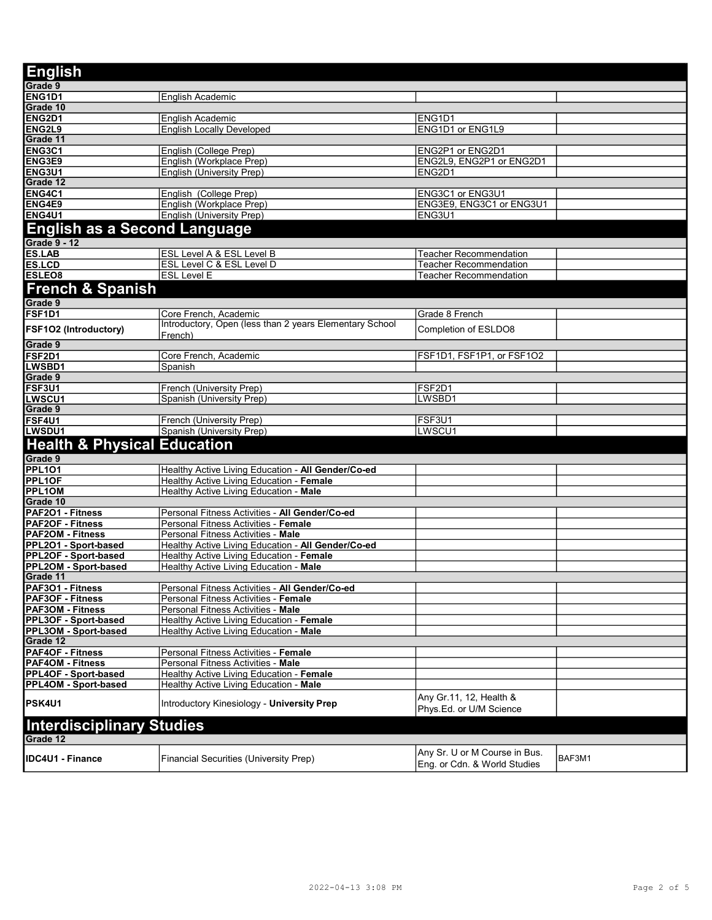| <b>English</b>                                         |                                                                                          |                                                  |        |
|--------------------------------------------------------|------------------------------------------------------------------------------------------|--------------------------------------------------|--------|
| Grade 9                                                |                                                                                          |                                                  |        |
| ENG1D1                                                 | English Academic                                                                         |                                                  |        |
| Grade 10                                               |                                                                                          |                                                  |        |
| ENG2D1                                                 | English Academic                                                                         | ENG1D1                                           |        |
| <b>ENG2L9</b>                                          | <b>English Locally Developed</b>                                                         | ENG1D1 or ENG1L9                                 |        |
| Grade 11                                               |                                                                                          |                                                  |        |
| ENG3C1                                                 | English (College Prep)                                                                   | ENG2P1 or ENG2D1                                 |        |
| ENG3E9<br>ENG3U1                                       | English (Workplace Prep)<br>English (University Prep)                                    | ENG2L9, ENG2P1 or ENG2D1<br>ENG2D1               |        |
| Grade 12                                               |                                                                                          |                                                  |        |
| <b>ENG4C1</b>                                          | English (College Prep)                                                                   | ENG3C1 or ENG3U1                                 |        |
| ENG4E9                                                 | English (Workplace Prep)                                                                 | ENG3E9, ENG3C1 or ENG3U1                         |        |
| <b>ENG4U1</b>                                          | English (University Prep)                                                                | ENG3U1                                           |        |
| English as a Second Language                           |                                                                                          |                                                  |        |
|                                                        |                                                                                          |                                                  |        |
| <b>Grade 9 - 12</b>                                    |                                                                                          |                                                  |        |
| <b>ES.LAB</b><br><b>ES.LCD</b>                         | <b>ESL Level A &amp; ESL Level B</b><br>ESL Level C & ESL Level D                        | Teacher Recommendation<br>Teacher Recommendation |        |
| <b>ESLEO8</b>                                          | <b>ESL Level E</b>                                                                       | <b>Teacher Recommendation</b>                    |        |
|                                                        |                                                                                          |                                                  |        |
| <b>French &amp; Spanish</b>                            |                                                                                          |                                                  |        |
| Grade 9                                                |                                                                                          |                                                  |        |
| FSF <sub>1</sub> D <sub>1</sub>                        | Core French, Academic                                                                    | Grade 8 French                                   |        |
| <b>FSF1O2 (Introductory)</b>                           | Introductory, Open (less than 2 years Elementary School                                  | Completion of ESLDO8                             |        |
| Grade 9                                                | French)                                                                                  |                                                  |        |
| FSF2D1                                                 | Core French, Academic                                                                    | FSF1D1, FSF1P1, or FSF1O2                        |        |
| LWSBD1                                                 | Spanish                                                                                  |                                                  |        |
| Grade 9                                                |                                                                                          |                                                  |        |
| <b>FSF3U1</b>                                          | French (University Prep)                                                                 | FSF2D1                                           |        |
| LWSCU1                                                 | Spanish (University Prep)                                                                | LWSBD1                                           |        |
| Grade 9                                                |                                                                                          |                                                  |        |
| FSF4U1                                                 | French (University Prep)                                                                 | FSF3U1                                           |        |
| LWSDU1                                                 | Spanish (University Prep)                                                                | LWSCU1                                           |        |
| <b>Health &amp; Physical Education</b>                 |                                                                                          |                                                  |        |
| Grade 9                                                |                                                                                          |                                                  |        |
| <b>PPL101</b>                                          | Healthy Active Living Education - All Gender/Co-ed                                       |                                                  |        |
| <b>PPL1OF</b>                                          | Healthy Active Living Education - Female                                                 |                                                  |        |
| <b>PPL1OM</b>                                          | Healthy Active Living Education - Male                                                   |                                                  |        |
| Grade 10                                               |                                                                                          |                                                  |        |
| PAF2O1 - Fitness                                       | Personal Fitness Activities - All Gender/Co-ed                                           |                                                  |        |
| <b>PAF2OF - Fitness</b>                                | Personal Fitness Activities - Female                                                     |                                                  |        |
| <b>PAF2OM - Fitness</b><br>PPL2O1 - Sport-based        | Personal Fitness Activities - Male<br>Healthy Active Living Education - All Gender/Co-ed |                                                  |        |
| PPL2OF - Sport-based                                   | Healthy Active Living Education - Female                                                 |                                                  |        |
| PPL2OM - Sport-based                                   | Healthy Active Living Education - Male                                                   |                                                  |        |
| Grade 11                                               |                                                                                          |                                                  |        |
| <b>PAF3O1 - Fitness</b>                                | Personal Fitness Activities - All Gender/Co-ed                                           |                                                  |        |
| <b>PAF3OF - Fitness</b>                                | Personal Fitness Activities - Female                                                     |                                                  |        |
| <b>PAF3OM - Fitness</b>                                | Personal Fitness Activities - Male                                                       |                                                  |        |
| PPL3OF - Sport-based                                   | Healthy Active Living Education - Female                                                 |                                                  |        |
| PPL3OM - Sport-based                                   | Healthy Active Living Education - Male                                                   |                                                  |        |
| Grade 12                                               |                                                                                          |                                                  |        |
| PAF4OF - Fitness                                       | Personal Fitness Activities - Female                                                     |                                                  |        |
| <b>PAF4OM - Fitness</b><br><b>PPL4OF - Sport-based</b> | Personal Fitness Activities - Male<br>Healthy Active Living Education - Female           |                                                  |        |
| PPL4OM - Sport-based                                   | Healthy Active Living Education - Male                                                   |                                                  |        |
|                                                        |                                                                                          | Any Gr.11, 12, Health &                          |        |
| <b>PSK4U1</b>                                          | Introductory Kinesiology - University Prep                                               | Phys.Ed. or U/M Science                          |        |
| <b>Interdisciplinary Studies</b>                       |                                                                                          |                                                  |        |
| Grade 12                                               |                                                                                          |                                                  |        |
|                                                        |                                                                                          | Any Sr. U or M Course in Bus.                    |        |
| <b>IDC4U1 - Finance</b>                                | Financial Securities (University Prep)                                                   | Eng. or Cdn. & World Studies                     | BAF3M1 |
|                                                        |                                                                                          |                                                  |        |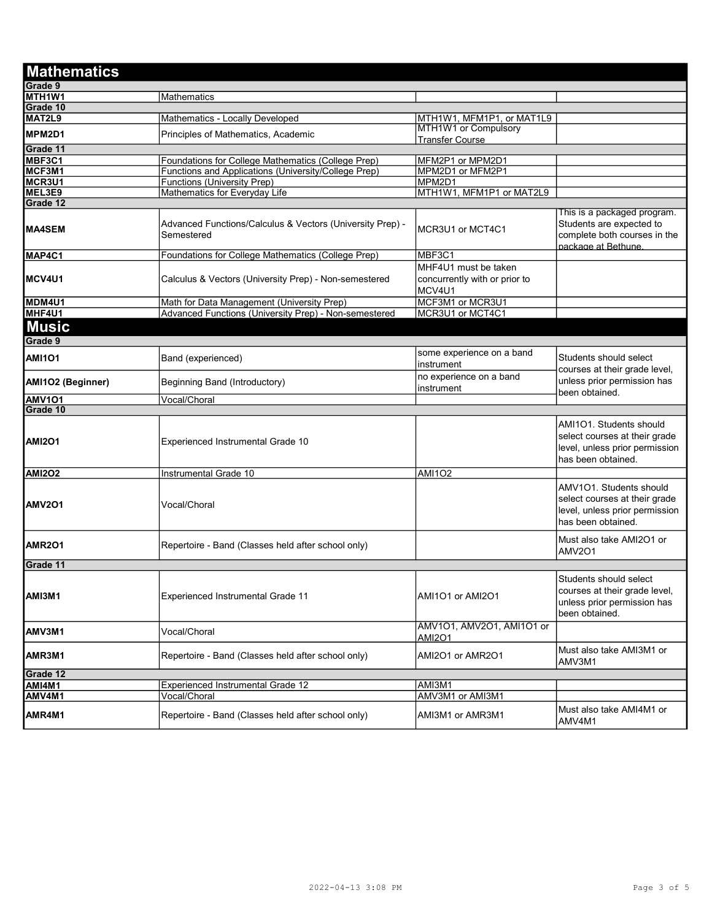| <b>Mathematics</b>              |                                                                         |                                                                 |                                                                                                                  |
|---------------------------------|-------------------------------------------------------------------------|-----------------------------------------------------------------|------------------------------------------------------------------------------------------------------------------|
| Grade 9                         |                                                                         |                                                                 |                                                                                                                  |
| MTH <sub>1</sub> W <sub>1</sub> | Mathematics                                                             |                                                                 |                                                                                                                  |
| Grade 10                        |                                                                         |                                                                 |                                                                                                                  |
| MAT2L9                          | Mathematics - Locally Developed                                         | MTH1W1, MFM1P1, or MAT1L9                                       |                                                                                                                  |
| MPM2D1                          | Principles of Mathematics, Academic                                     | MTH1W1 or Compulsory<br><b>Transfer Course</b>                  |                                                                                                                  |
| Grade 11                        |                                                                         |                                                                 |                                                                                                                  |
| MBF3C1                          | Foundations for College Mathematics (College Prep)                      | MFM2P1 or MPM2D1                                                |                                                                                                                  |
| MCF3M1                          | Functions and Applications (University/College Prep)                    | MPM2D1 or MFM2P1                                                |                                                                                                                  |
| MCR3U1                          | <b>Functions (University Prep)</b>                                      | MPM2D1                                                          |                                                                                                                  |
| MEL3E9                          | Mathematics for Everyday Life                                           | MTH1W1, MFM1P1 or MAT2L9                                        |                                                                                                                  |
| Grade 12                        |                                                                         |                                                                 |                                                                                                                  |
| <b>MA4SEM</b>                   | Advanced Functions/Calculus & Vectors (University Prep) -<br>Semestered | MCR3U1 or MCT4C1                                                | This is a packaged program.<br>Students are expected to<br>complete both courses in the<br>package at Bethune.   |
| MAP4C1                          | Foundations for College Mathematics (College Prep)                      | MBF3C1                                                          |                                                                                                                  |
| MCV4U1                          | Calculus & Vectors (University Prep) - Non-semestered                   | MHF4U1 must be taken<br>concurrently with or prior to<br>MCV4U1 |                                                                                                                  |
| MDM4U1                          | Math for Data Management (University Prep)                              | MCF3M1 or MCR3U1                                                |                                                                                                                  |
| MHF4U1                          | Advanced Functions (University Prep) - Non-semestered                   | MCR3U1 or MCT4C1                                                |                                                                                                                  |
| <b>Music</b>                    |                                                                         |                                                                 |                                                                                                                  |
| Grade 9                         |                                                                         |                                                                 |                                                                                                                  |
| <b>AMI101</b>                   | Band (experienced)                                                      | some experience on a band<br>instrument                         | Students should select<br>courses at their grade level,                                                          |
| AMI1O2 (Beginner)               | Beginning Band (Introductory)                                           | no experience on a band<br>instrument                           | unless prior permission has<br>been obtained.                                                                    |
| <b>AMV101</b>                   | Vocal/Choral                                                            |                                                                 |                                                                                                                  |
| Grade 10                        |                                                                         |                                                                 |                                                                                                                  |
| <b>AMI2O1</b>                   | Experienced Instrumental Grade 10                                       |                                                                 | AMI101. Students should<br>select courses at their grade<br>level, unless prior permission<br>has been obtained. |
| <b>AMI2O2</b>                   | Instrumental Grade 10                                                   | <b>AMI1O2</b>                                                   |                                                                                                                  |
| <b>IAMV2O1</b>                  | Vocal/Choral                                                            |                                                                 | AMV1O1. Students should<br>select courses at their grade<br>level, unless prior permission<br>has been obtained. |
| AMR <sub>201</sub>              | Repertoire - Band (Classes held after school only)                      |                                                                 | Must also take AMI2O1 or<br><b>AMV2O1</b>                                                                        |
| Grade 11                        |                                                                         |                                                                 |                                                                                                                  |
| AMI3M1                          | <b>Experienced Instrumental Grade 11</b>                                | AMI1O1 or AMI2O1                                                | Students should select<br>courses at their grade level,<br>unless prior permission has<br>been obtained.         |
| AMV3M1                          | Vocal/Choral                                                            | AMV101, AMV201, AMI101 or<br>AMI2O1                             |                                                                                                                  |
| AMR3M1                          | Repertoire - Band (Classes held after school only)                      | AMI2O1 or AMR2O1                                                | Must also take AMI3M1 or<br>AMV3M1                                                                               |
| Grade 12                        |                                                                         |                                                                 |                                                                                                                  |
| AMI4M1                          | Experienced Instrumental Grade 12                                       | AMI3M1                                                          |                                                                                                                  |
| AMV4M1                          | Vocal/Choral                                                            | AMV3M1 or AMI3M1                                                |                                                                                                                  |
| AMR4M1                          | Repertoire - Band (Classes held after school only)                      | AMI3M1 or AMR3M1                                                | Must also take AMI4M1 or<br>AMV4M1                                                                               |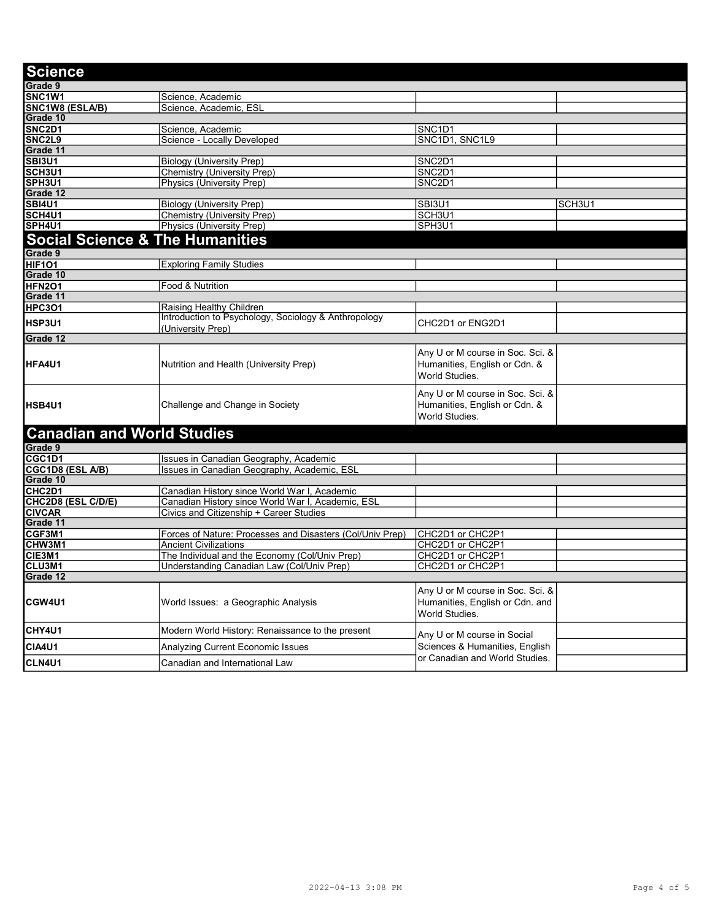| <b>Science</b>                             |                                                           |                                                                                       |        |
|--------------------------------------------|-----------------------------------------------------------|---------------------------------------------------------------------------------------|--------|
| Grade 9                                    |                                                           |                                                                                       |        |
| SNC <sub>1</sub> W <sub>1</sub>            | Science, Academic                                         |                                                                                       |        |
| SNC1W8 (ESLA/B)                            | Science, Academic, ESL                                    |                                                                                       |        |
| Grade 10                                   |                                                           |                                                                                       |        |
| SNC2D1                                     | Science, Academic                                         | SNC1D1                                                                                |        |
| SNC2L9                                     | Science - Locally Developed                               | SNC1D1, SNC1L9                                                                        |        |
| Grade 11                                   |                                                           |                                                                                       |        |
| <b>SBI3U1</b>                              | <b>Biology (University Prep)</b>                          | SNC2D1                                                                                |        |
| SCH3U1                                     | Chemistry (University Prep)                               | SNC2D1                                                                                |        |
| SPH3U1                                     | Physics (University Prep)                                 | SNC2D1                                                                                |        |
| Grade 12                                   |                                                           |                                                                                       |        |
| <b>SBI4U1</b>                              | <b>Biology (University Prep)</b>                          | SBI3U1                                                                                | SCH3U1 |
| SCH4U1                                     | <b>Chemistry (University Prep)</b>                        | SCH3U1                                                                                |        |
| SPH4U1                                     | Physics (University Prep)                                 | SPH3U1                                                                                |        |
| <b>Social Science &amp; The Humanities</b> |                                                           |                                                                                       |        |
| Grade 9                                    |                                                           |                                                                                       |        |
| <b>HIF101</b>                              |                                                           |                                                                                       |        |
| Grade 10                                   | <b>Exploring Family Studies</b>                           |                                                                                       |        |
| HFN <sub>2</sub> O1                        | Food & Nutrition                                          |                                                                                       |        |
| Grade 11                                   |                                                           |                                                                                       |        |
| <b>HPC3O1</b>                              | Raising Healthy Children                                  |                                                                                       |        |
|                                            | Introduction to Psychology, Sociology & Anthropology      |                                                                                       |        |
| <b>HSP3U1</b>                              | (University Prep)                                         | CHC2D1 or ENG2D1                                                                      |        |
| Grade 12                                   |                                                           |                                                                                       |        |
| <b>HFA4U1</b>                              | Nutrition and Health (University Prep)                    | Any U or M course in Soc. Sci. &<br>Humanities, English or Cdn. &<br>World Studies.   |        |
| <b>IHSB4U1</b>                             | Challenge and Change in Society                           | Any U or M course in Soc. Sci. &<br>Humanities, English or Cdn. &<br>World Studies.   |        |
| <b>Canadian and World Studies</b>          |                                                           |                                                                                       |        |
| Grade 9                                    |                                                           |                                                                                       |        |
| CGC1D1                                     | Issues in Canadian Geography, Academic                    |                                                                                       |        |
| <b>CGC1D8 (ESL A/B)</b>                    | Issues in Canadian Geography, Academic, ESL               |                                                                                       |        |
| Grade 10                                   |                                                           |                                                                                       |        |
| CHC <sub>2</sub> D <sub>1</sub>            | Canadian History since World War I, Academic              |                                                                                       |        |
| <b>CHC2D8 (ESL C/D/E)</b>                  | Canadian History since World War I, Academic, ESL         |                                                                                       |        |
| <b>CIVCAR</b>                              | Civics and Citizenship + Career Studies                   |                                                                                       |        |
| Grade 11                                   |                                                           |                                                                                       |        |
| <b>CGF3M1</b>                              | Forces of Nature: Processes and Disasters (Col/Univ Prep) | CHC2D1 or CHC2P1                                                                      |        |
| <b>CHW3M1</b>                              | <b>Ancient Civilizations</b>                              | CHC2D1 or CHC2P1                                                                      |        |
| <b>CIE3M1</b>                              | The Individual and the Economy (Col/Univ Prep)            | CHC2D1 or CHC2P1                                                                      |        |
| <b>CLU3M1</b>                              | Understanding Canadian Law (Col/Univ Prep)                | CHC2D1 or CHC2P1                                                                      |        |
| Grade 12                                   |                                                           |                                                                                       |        |
| <b>CGW4U1</b>                              | World Issues: a Geographic Analysis                       | Any U or M course in Soc. Sci. &<br>Humanities, English or Cdn. and<br>World Studies. |        |
| CHY4U1                                     | Modern World History: Renaissance to the present          | Any U or M course in Social                                                           |        |
| <b>CIA4U1</b>                              | Analyzing Current Economic Issues                         | Sciences & Humanities, English                                                        |        |
| <b>CLN4U1</b>                              | Canadian and International Law                            | or Canadian and World Studies.                                                        |        |